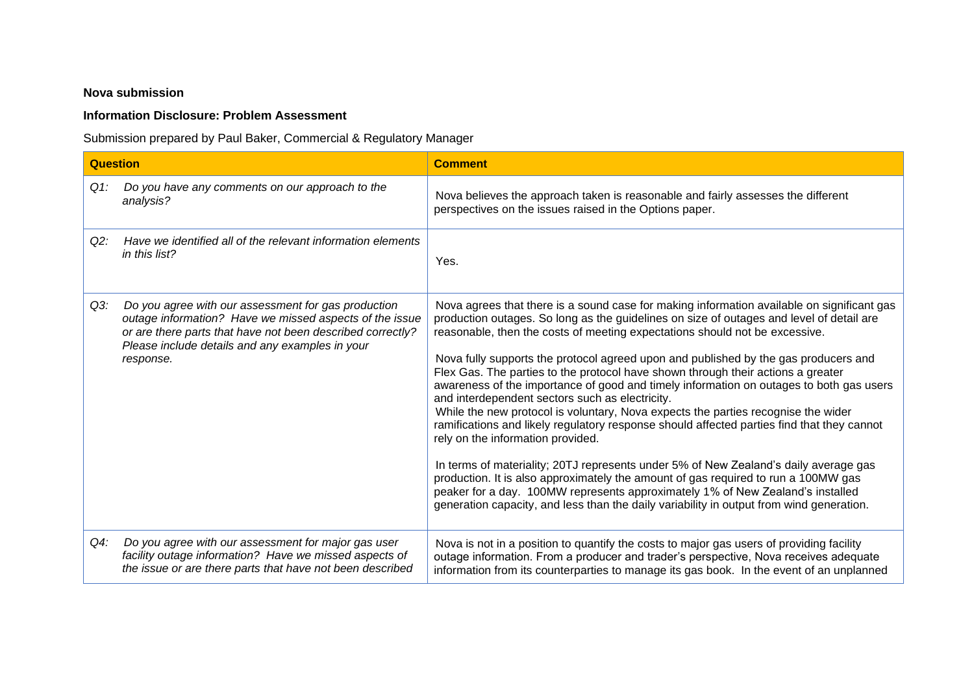## **Nova submission**

## **Information Disclosure: Problem Assessment**

Submission prepared by Paul Baker, Commercial & Regulatory Manager

| <b>Question</b> |                                                                                                                                                                                                                                              | <b>Comment</b>                                                                                                                                                                                                                                                                                                                                                                                                                                                                                                                                                                                                                                                                                                                                                                                                                                                                                                                                                                                                                                                                                                                                                                     |
|-----------------|----------------------------------------------------------------------------------------------------------------------------------------------------------------------------------------------------------------------------------------------|------------------------------------------------------------------------------------------------------------------------------------------------------------------------------------------------------------------------------------------------------------------------------------------------------------------------------------------------------------------------------------------------------------------------------------------------------------------------------------------------------------------------------------------------------------------------------------------------------------------------------------------------------------------------------------------------------------------------------------------------------------------------------------------------------------------------------------------------------------------------------------------------------------------------------------------------------------------------------------------------------------------------------------------------------------------------------------------------------------------------------------------------------------------------------------|
| $Q1$ :          | Do you have any comments on our approach to the<br>analysis?                                                                                                                                                                                 | Nova believes the approach taken is reasonable and fairly assesses the different<br>perspectives on the issues raised in the Options paper.                                                                                                                                                                                                                                                                                                                                                                                                                                                                                                                                                                                                                                                                                                                                                                                                                                                                                                                                                                                                                                        |
| Q2:             | Have we identified all of the relevant information elements<br>in this list?                                                                                                                                                                 | Yes.                                                                                                                                                                                                                                                                                                                                                                                                                                                                                                                                                                                                                                                                                                                                                                                                                                                                                                                                                                                                                                                                                                                                                                               |
| $Q3$ :          | Do you agree with our assessment for gas production<br>outage information? Have we missed aspects of the issue<br>or are there parts that have not been described correctly?<br>Please include details and any examples in your<br>response. | Nova agrees that there is a sound case for making information available on significant gas<br>production outages. So long as the guidelines on size of outages and level of detail are<br>reasonable, then the costs of meeting expectations should not be excessive.<br>Nova fully supports the protocol agreed upon and published by the gas producers and<br>Flex Gas. The parties to the protocol have shown through their actions a greater<br>awareness of the importance of good and timely information on outages to both gas users<br>and interdependent sectors such as electricity.<br>While the new protocol is voluntary, Nova expects the parties recognise the wider<br>ramifications and likely regulatory response should affected parties find that they cannot<br>rely on the information provided.<br>In terms of materiality; 20TJ represents under 5% of New Zealand's daily average gas<br>production. It is also approximately the amount of gas required to run a 100MW gas<br>peaker for a day. 100MW represents approximately 1% of New Zealand's installed<br>generation capacity, and less than the daily variability in output from wind generation. |
| $Q4$ :          | Do you agree with our assessment for major gas user<br>facility outage information? Have we missed aspects of<br>the issue or are there parts that have not been described                                                                   | Nova is not in a position to quantify the costs to major gas users of providing facility<br>outage information. From a producer and trader's perspective, Nova receives adequate<br>information from its counterparties to manage its gas book. In the event of an unplanned                                                                                                                                                                                                                                                                                                                                                                                                                                                                                                                                                                                                                                                                                                                                                                                                                                                                                                       |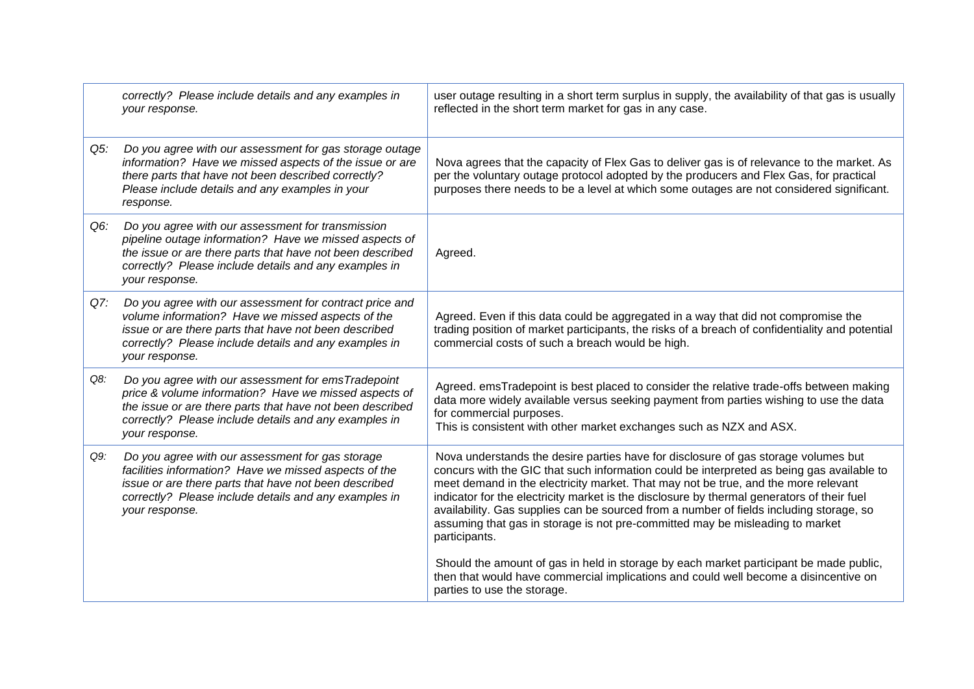|     | correctly? Please include details and any examples in<br>your response.                                                                                                                                                                             | user outage resulting in a short term surplus in supply, the availability of that gas is usually<br>reflected in the short term market for gas in any case.                                                                                                                                                                                                                                                                                                                                                                                                      |
|-----|-----------------------------------------------------------------------------------------------------------------------------------------------------------------------------------------------------------------------------------------------------|------------------------------------------------------------------------------------------------------------------------------------------------------------------------------------------------------------------------------------------------------------------------------------------------------------------------------------------------------------------------------------------------------------------------------------------------------------------------------------------------------------------------------------------------------------------|
| Q5: | Do you agree with our assessment for gas storage outage<br>information? Have we missed aspects of the issue or are<br>there parts that have not been described correctly?<br>Please include details and any examples in your<br>response.           | Nova agrees that the capacity of Flex Gas to deliver gas is of relevance to the market. As<br>per the voluntary outage protocol adopted by the producers and Flex Gas, for practical<br>purposes there needs to be a level at which some outages are not considered significant.                                                                                                                                                                                                                                                                                 |
| Q6: | Do you agree with our assessment for transmission<br>pipeline outage information? Have we missed aspects of<br>the issue or are there parts that have not been described<br>correctly? Please include details and any examples in<br>your response. | Agreed.                                                                                                                                                                                                                                                                                                                                                                                                                                                                                                                                                          |
| Q7: | Do you agree with our assessment for contract price and<br>volume information? Have we missed aspects of the<br>issue or are there parts that have not been described<br>correctly? Please include details and any examples in<br>your response.    | Agreed. Even if this data could be aggregated in a way that did not compromise the<br>trading position of market participants, the risks of a breach of confidentiality and potential<br>commercial costs of such a breach would be high.                                                                                                                                                                                                                                                                                                                        |
| Q8: | Do you agree with our assessment for emsTradepoint<br>price & volume information? Have we missed aspects of<br>the issue or are there parts that have not been described<br>correctly? Please include details and any examples in<br>your response. | Agreed. emsTradepoint is best placed to consider the relative trade-offs between making<br>data more widely available versus seeking payment from parties wishing to use the data<br>for commercial purposes.<br>This is consistent with other market exchanges such as NZX and ASX.                                                                                                                                                                                                                                                                             |
| Q9: | Do you agree with our assessment for gas storage<br>facilities information? Have we missed aspects of the<br>issue or are there parts that have not been described<br>correctly? Please include details and any examples in<br>your response.       | Nova understands the desire parties have for disclosure of gas storage volumes but<br>concurs with the GIC that such information could be interpreted as being gas available to<br>meet demand in the electricity market. That may not be true, and the more relevant<br>indicator for the electricity market is the disclosure by thermal generators of their fuel<br>availability. Gas supplies can be sourced from a number of fields including storage, so<br>assuming that gas in storage is not pre-committed may be misleading to market<br>participants. |
|     |                                                                                                                                                                                                                                                     | Should the amount of gas in held in storage by each market participant be made public,<br>then that would have commercial implications and could well become a disincentive on<br>parties to use the storage.                                                                                                                                                                                                                                                                                                                                                    |